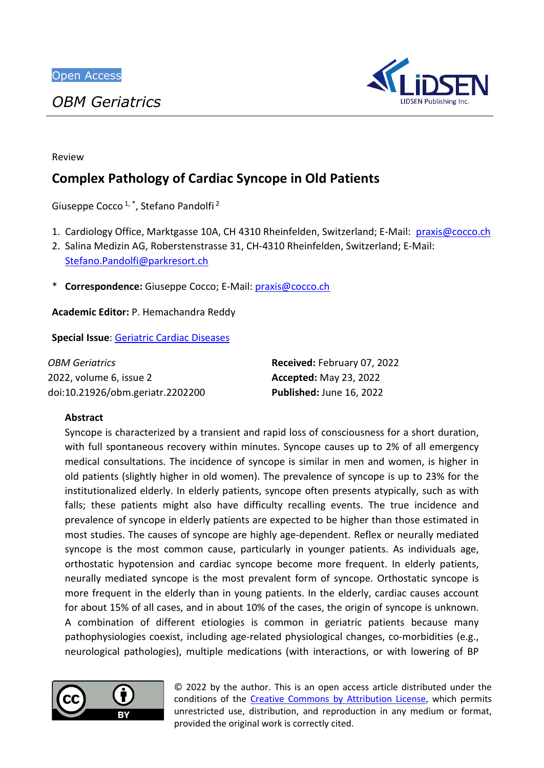

Review

# **Complex Pathology of Cardiac Syncope in Old Patients**

Giuseppe Cocco<sup>1,\*</sup>, Stefano Pandolfi<sup>2</sup>

- 1. Cardiology Office, Marktgasse 10A, CH 4310 Rheinfelden, Switzerland; E-Mail: [praxis@cocco.ch](mailto:praxis@cocco.ch)
- 2. Salina Medizin AG, Roberstenstrasse 31, CH-4310 Rheinfelden, Switzerland; E-Mail:

[Stefano.Pandolfi@parkresort.ch](mailto:Stefano.Pandolfi@parkresort.ch)

\* **Correspondence:** Giuseppe Cocco; E-Mail: [praxis@cocco.ch](mailto:praxis@cocco.ch)

**Academic Editor:** P. Hemachandra Reddy

**Special Issue**: [Geriatric](https://www.lidsen.com/journals/geriatrics/geriatrics-special-issues/geriatric-cardiac-dis) Cardiac Diseases

| OBM Geriatrics                   | Received: February 07, 2022   |
|----------------------------------|-------------------------------|
| 2022, volume 6, issue 2          | <b>Accepted: May 23, 2022</b> |
| doi:10.21926/obm.geriatr.2202200 | Published: June 16, 2022      |

# **Abstract**

Syncope is characterized by a transient and rapid loss of consciousness for a short duration, with full spontaneous recovery within minutes. Syncope causes up to 2% of all emergency medical consultations. The incidence of syncope is similar in men and women, is higher in old patients (slightly higher in old women). The prevalence of syncope is up to 23% for the institutionalized elderly. In elderly patients, syncope often presents atypically, such as with falls; these patients might also have difficulty recalling events. The true incidence and prevalence of syncope in elderly patients are expected to be higher than those estimated in most studies. The causes of syncope are highly age-dependent. Reflex or neurally mediated syncope is the most common cause, particularly in younger patients. As individuals age, orthostatic hypotension and cardiac syncope become more frequent. In elderly patients, neurally mediated syncope is the most prevalent form of syncope. Orthostatic syncope is more frequent in the elderly than in young patients. In the elderly, cardiac causes account for about 15% of all cases, and in about 10% of the cases, the origin of syncope is unknown. A combination of different etiologies is common in geriatric patients because many pathophysiologies coexist, including age-related physiological changes, co-morbidities (e.g., neurological pathologies), multiple medications (with interactions, or with lowering of BP



© 2022 by the author. This is an open access article distributed under the conditions of the [Creative Commons by Attribution License,](http://creativecommons.org/licenses/by/4.0/) which permits unrestricted use, distribution, and reproduction in any medium or format, provided the original work is correctly cited.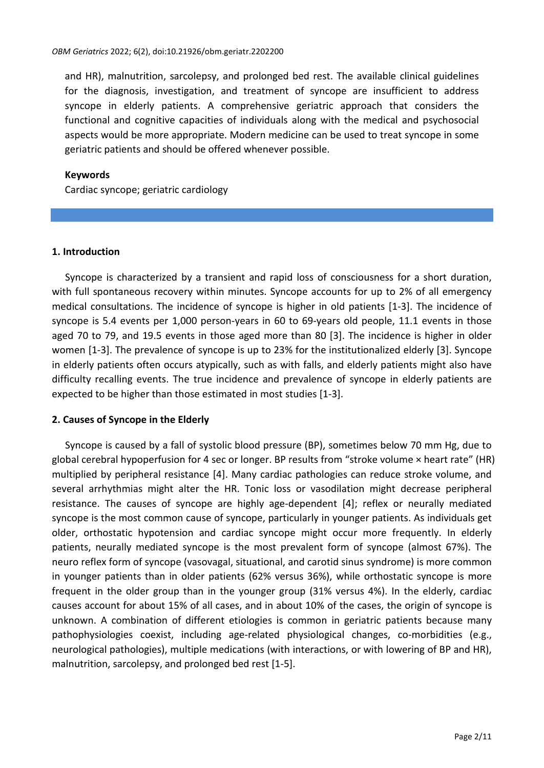and HR), malnutrition, sarcolepsy, and prolonged bed rest. The available clinical guidelines for the diagnosis, investigation, and treatment of syncope are insufficient to address syncope in elderly patients. A comprehensive geriatric approach that considers the functional and cognitive capacities of individuals along with the medical and psychosocial aspects would be more appropriate. Modern medicine can be used to treat syncope in some geriatric patients and should be offered whenever possible.

## **Keywords**

Cardiac syncope; geriatric cardiology

## **1. Introduction**

Syncope is characterized by a transient and rapid loss of consciousness for a short duration, with full spontaneous recovery within minutes. Syncope accounts for up to 2% of all emergency medical consultations. The incidence of syncope is higher in old patients [1-3]. The incidence of syncope is 5.4 events per 1,000 person-years in 60 to 69-years old people, 11.1 events in those aged 70 to 79, and 19.5 events in those aged more than 80 [3]. The incidence is higher in older women [1-3]. The prevalence of syncope is up to 23% for the institutionalized elderly [3]. Syncope in elderly patients often occurs atypically, such as with falls, and elderly patients might also have difficulty recalling events. The true incidence and prevalence of syncope in elderly patients are expected to be higher than those estimated in most studies [1-3].

# **2. Causes of Syncope in the Elderly**

Syncope is caused by a fall of systolic blood pressure (BP), sometimes below 70 mm Hg, due to global cerebral hypoperfusion for 4 sec or longer. BP results from "stroke volume × heart rate" (HR) multiplied by peripheral resistance [4]. Many cardiac pathologies can reduce stroke volume, and several arrhythmias might alter the HR. Tonic loss or vasodilation might decrease peripheral resistance. The causes of syncope are highly age-dependent [4]; reflex or neurally mediated syncope is the most common cause of syncope, particularly in younger patients. As individuals get older, orthostatic hypotension and cardiac syncope might occur more frequently. In elderly patients, neurally mediated syncope is the most prevalent form of syncope (almost 67%). The neuro reflex form of syncope (vasovagal, situational, and carotid sinus syndrome) is more common in younger patients than in older patients (62% versus 36%), while orthostatic syncope is more frequent in the older group than in the younger group (31% versus 4%). In the elderly, cardiac causes account for about 15% of all cases, and in about 10% of the cases, the origin of syncope is unknown. A combination of different etiologies is common in geriatric patients because many pathophysiologies coexist, including age-related physiological changes, co-morbidities (e.g., neurological pathologies), multiple medications (with interactions, or with lowering of BP and HR), malnutrition, sarcolepsy, and prolonged bed rest [1-5].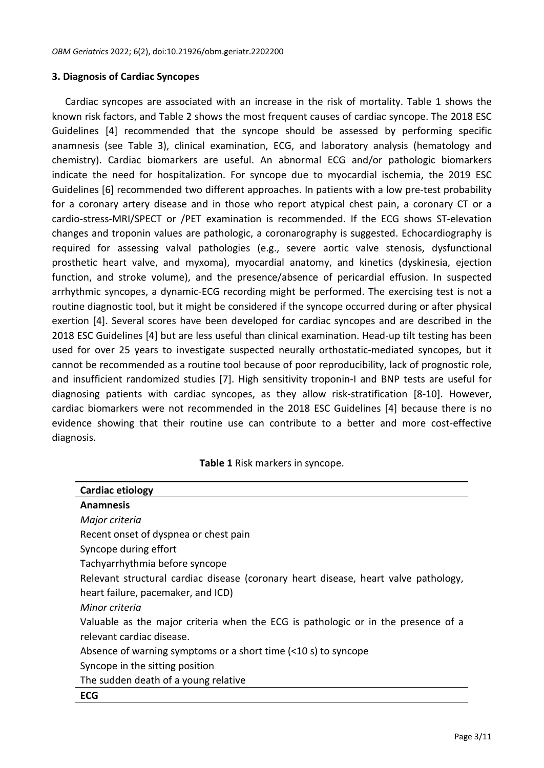## **3. Diagnosis of Cardiac Syncopes**

Cardiac syncopes are associated with an increase in the risk of mortality. Table 1 shows the known risk factors, and Table 2 shows the most frequent causes of cardiac syncope. The 2018 ESC Guidelines [4] recommended that the syncope should be assessed by performing specific anamnesis (see Table 3), clinical examination, ECG, and laboratory analysis (hematology and chemistry). Cardiac biomarkers are useful. An abnormal ECG and/or pathologic biomarkers indicate the need for hospitalization. For syncope due to myocardial ischemia, the 2019 ESC Guidelines [6] recommended two different approaches. In patients with a low pre-test probability for a coronary artery disease and in those who report atypical chest pain, a coronary CT or a cardio-stress-MRI/SPECT or /PET examination is recommended. If the ECG shows ST-elevation changes and troponin values are pathologic, a coronarography is suggested. Echocardiography is required for assessing valval pathologies (e.g., severe aortic valve stenosis, dysfunctional prosthetic heart valve, and myxoma), myocardial anatomy, and kinetics (dyskinesia, ejection function, and stroke volume), and the presence/absence of pericardial effusion. In suspected arrhythmic syncopes, a dynamic-ECG recording might be performed. The exercising test is not a routine diagnostic tool, but it might be considered if the syncope occurred during or after physical exertion [4]. Several scores have been developed for cardiac syncopes and are described in the 2018 ESC Guidelines [4] but are less useful than clinical examination. Head-up tilt testing has been used for over 25 years to investigate suspected neurally orthostatic-mediated syncopes, but it cannot be recommended as a routine tool because of poor reproducibility, lack of prognostic role, and insufficient randomized studies [7]. High sensitivity troponin-I and BNP tests are useful for diagnosing patients with cardiac syncopes, as they allow risk-stratification [8-10]. However, cardiac biomarkers were not recommended in the 2018 ESC Guidelines [4] because there is no evidence showing that their routine use can contribute to a better and more cost-effective diagnosis.

#### **Table 1** Risk markers in syncope.

| Cardiac etiology                                                                    |
|-------------------------------------------------------------------------------------|
| <b>Anamnesis</b>                                                                    |
| Major criteria                                                                      |
| Recent onset of dyspnea or chest pain                                               |
| Syncope during effort                                                               |
| Tachyarrhythmia before syncope                                                      |
| Relevant structural cardiac disease (coronary heart disease, heart valve pathology, |
| heart failure, pacemaker, and ICD)                                                  |
| Minor criteria                                                                      |
| Valuable as the major criteria when the ECG is pathologic or in the presence of a   |
| relevant cardiac disease.                                                           |
| Absence of warning symptoms or a short time (<10 s) to syncope                      |
| Syncope in the sitting position                                                     |
| The sudden death of a young relative                                                |
| <b>ECG</b>                                                                          |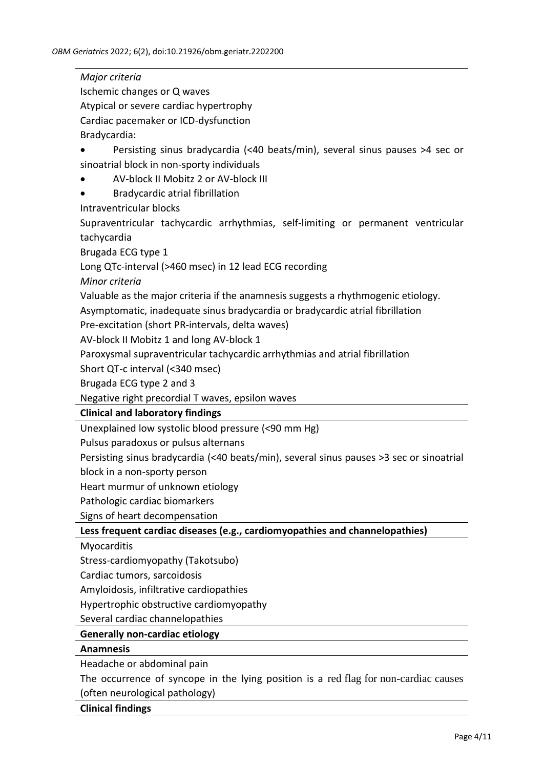*Major criteria* Ischemic changes or Q waves Atypical or severe cardiac hypertrophy Cardiac pacemaker or ICD-dysfunction Bradycardia: • Persisting sinus bradycardia (<40 beats/min), several sinus pauses >4 sec or sinoatrial block in non-sporty individuals • AV-block II Mobitz 2 or AV-block III • Bradycardic atrial fibrillation Intraventricular blocks Supraventricular tachycardic arrhythmias, self-limiting or permanent ventricular tachycardia Brugada ECG type 1 Long QTc-interval (>460 msec) in 12 lead ECG recording *Minor criteria* Valuable as the major criteria if the anamnesis suggests a rhythmogenic etiology. Asymptomatic, inadequate sinus bradycardia or bradycardic atrial fibrillation Pre-excitation (short PR-intervals, delta waves) AV-block II Mobitz 1 and long AV-block 1 Paroxysmal supraventricular tachycardic arrhythmias and atrial fibrillation Short QT-c interval (<340 msec) Brugada ECG type 2 and 3 Negative right precordial T waves, epsilon waves **Clinical and laboratory findings** Unexplained low systolic blood pressure (<90 mm Hg) Pulsus paradoxus or pulsus alternans Persisting sinus bradycardia (<40 beats/min), several sinus pauses >3 sec or sinoatrial block in a non-sporty person Heart murmur of unknown etiology Pathologic cardiac biomarkers Signs of heart decompensation **Less frequent cardiac diseases (e.g., cardiomyopathies and channelopathies) Myocarditis** Stress-cardiomyopathy (Takotsubo) Cardiac tumors, sarcoidosis Amyloidosis, infiltrative cardiopathies Hypertrophic obstructive cardiomyopathy Several cardiac channelopathies **Generally non-cardiac etiology Anamnesis** Headache or abdominal pain The occurrence of syncope in the lying position is a red flag for non-cardiac causes

(often neurological pathology)

# **Clinical findings**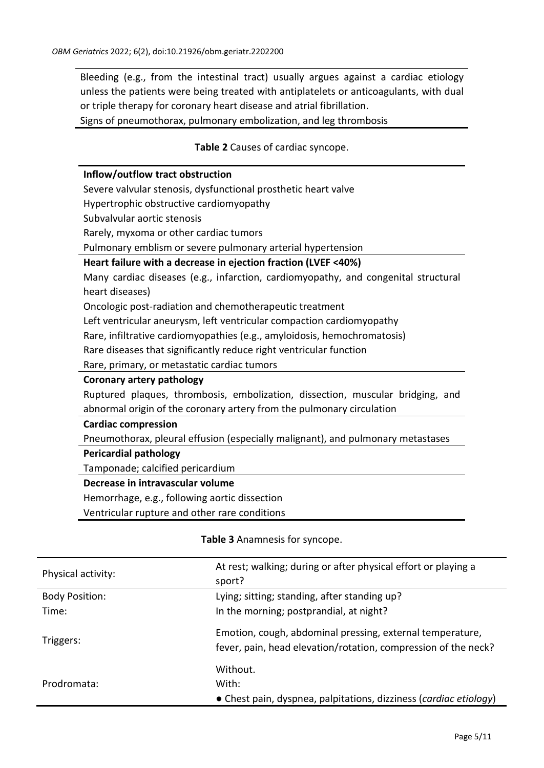Bleeding (e.g., from the intestinal tract) usually argues against a cardiac etiology unless the patients were being treated with antiplatelets or anticoagulants, with dual or triple therapy for coronary heart disease and atrial fibrillation.

Signs of pneumothorax, pulmonary embolization, and leg thrombosis

## **Table 2** Causes of cardiac syncope.

## **Inflow/outflow tract obstruction**

Severe valvular stenosis, dysfunctional prosthetic heart valve

Hypertrophic obstructive cardiomyopathy

Subvalvular aortic stenosis

Rarely, myxoma or other cardiac tumors

Pulmonary emblism or severe pulmonary arterial hypertension

## **Heart failure with a decrease in ejection fraction (LVEF <40%)**

Many cardiac diseases (e.g., infarction, cardiomyopathy, and congenital structural heart diseases)

Oncologic post-radiation and chemotherapeutic treatment

Left ventricular aneurysm, left ventricular compaction cardiomyopathy

Rare, infiltrative cardiomyopathies (e.g., amyloidosis, hemochromatosis)

Rare diseases that significantly reduce right ventricular function

Rare, primary, or metastatic cardiac tumors

#### **Coronary artery pathology**

Ruptured plaques, thrombosis, embolization, dissection, muscular bridging, and abnormal origin of the coronary artery from the pulmonary circulation

## **Cardiac compression**

Pneumothorax, pleural effusion (especially malignant), and pulmonary metastases

# **Pericardial pathology**

Tamponade; calcified pericardium

#### **Decrease in intravascular volume**

Hemorrhage, e.g., following aortic dissection

Ventricular rupture and other rare conditions

# **Table 3** Anamnesis for syncope.

| Physical activity:    | At rest; walking; during or after physical effort or playing a<br>sport? |
|-----------------------|--------------------------------------------------------------------------|
| <b>Body Position:</b> | Lying; sitting; standing, after standing up?                             |
| Time:                 | In the morning; postprandial, at night?                                  |
| Triggers:             | Emotion, cough, abdominal pressing, external temperature,                |
|                       | fever, pain, head elevation/rotation, compression of the neck?           |
|                       | Without.                                                                 |
| Prodromata:           | With:                                                                    |
|                       | • Chest pain, dyspnea, palpitations, dizziness (cardiac etiology)        |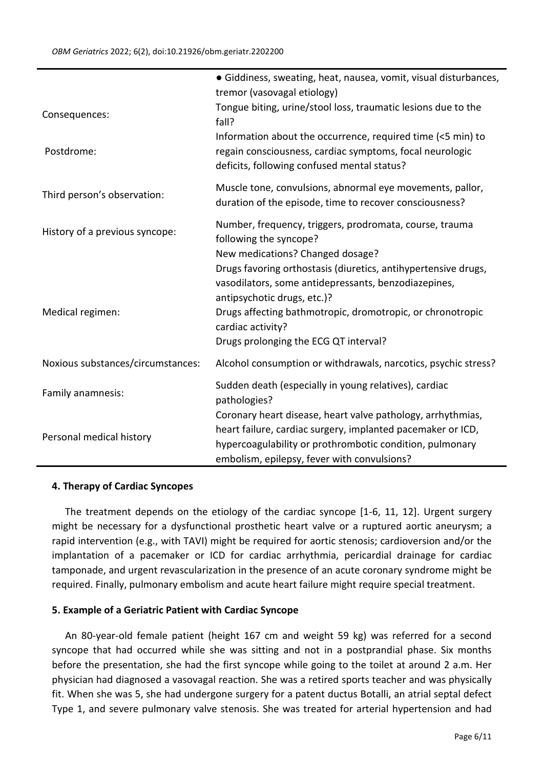|                                   | • Giddiness, sweating, heat, nausea, vomit, visual disturbances,<br>tremor (vasovagal etiology)                                                                                                                                                                                                                       |
|-----------------------------------|-----------------------------------------------------------------------------------------------------------------------------------------------------------------------------------------------------------------------------------------------------------------------------------------------------------------------|
| Consequences:                     | Tongue biting, urine/stool loss, traumatic lesions due to the<br>fall?                                                                                                                                                                                                                                                |
| Postdrome:                        | Information about the occurrence, required time (<5 min) to<br>regain consciousness, cardiac symptoms, focal neurologic<br>deficits, following confused mental status?                                                                                                                                                |
| Third person's observation:       | Muscle tone, convulsions, abnormal eye movements, pallor,<br>duration of the episode, time to recover consciousness?                                                                                                                                                                                                  |
| History of a previous syncope:    | Number, frequency, triggers, prodromata, course, trauma<br>following the syncope?                                                                                                                                                                                                                                     |
| Medical regimen:                  | New medications? Changed dosage?<br>Drugs favoring orthostasis (diuretics, antihypertensive drugs,<br>vasodilators, some antidepressants, benzodiazepines,<br>antipsychotic drugs, etc.)?<br>Drugs affecting bathmotropic, dromotropic, or chronotropic<br>cardiac activity?<br>Drugs prolonging the ECG QT interval? |
| Noxious substances/circumstances: | Alcohol consumption or withdrawals, narcotics, psychic stress?                                                                                                                                                                                                                                                        |
| Family anamnesis:                 | Sudden death (especially in young relatives), cardiac<br>pathologies?                                                                                                                                                                                                                                                 |
| Personal medical history          | Coronary heart disease, heart valve pathology, arrhythmias,<br>heart failure, cardiac surgery, implanted pacemaker or ICD,<br>hypercoagulability or prothrombotic condition, pulmonary<br>embolism, epilepsy, fever with convulsions?                                                                                 |

#### **4. Therapy of Cardiac Syncopes**

The treatment depends on the etiology of the cardiac syncope [1-6, 11, 12]. Urgent surgery might be necessary for a dysfunctional prosthetic heart valve or a ruptured aortic aneurysm; a rapid intervention (e.g., with TAVI) might be required for aortic stenosis; cardioversion and/or the implantation of a pacemaker or ICD for cardiac arrhythmia, pericardial drainage for cardiac tamponade, and urgent revascularization in the presence of an acute coronary syndrome might be required. Finally, pulmonary embolism and acute heart failure might require special treatment.

#### **5. Example of a Geriatric Patient with Cardiac Syncope**

An 80-year-old female patient (height 167 cm and weight 59 kg) was referred for a second syncope that had occurred while she was sitting and not in a postprandial phase. Six months before the presentation, she had the first syncope while going to the toilet at around 2 a.m. Her physician had diagnosed a vasovagal reaction. She was a retired sports teacher and was physically fit. When she was 5, she had undergone surgery for a patent ductus Botalli, an atrial septal defect Type 1, and severe pulmonary valve stenosis. She was treated for arterial hypertension and had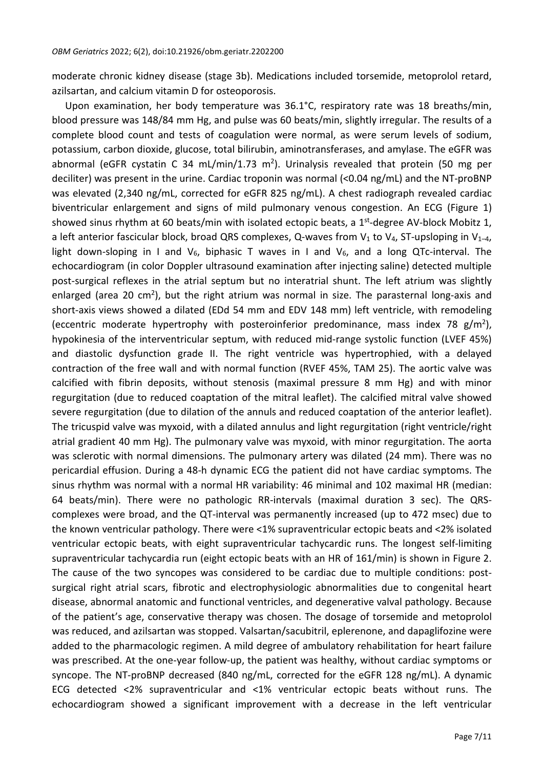moderate chronic kidney disease (stage 3b). Medications included torsemide, metoprolol retard, azilsartan, and calcium vitamin D for osteoporosis.

Upon examination, her body temperature was 36.1°C, respiratory rate was 18 breaths/min, blood pressure was 148/84 mm Hg, and pulse was 60 beats/min, slightly irregular. The results of a complete blood count and tests of coagulation were normal, as were serum levels of sodium, potassium, carbon dioxide, glucose, total bilirubin, aminotransferases, and amylase. The eGFR was abnormal (eGFR cystatin C 34 mL/min/1.73 m<sup>2</sup>). Urinalysis revealed that protein (50 mg per deciliter) was present in the urine. Cardiac troponin was normal (<0.04 ng/mL) and the NT-proBNP was elevated (2,340 ng/mL, corrected for eGFR 825 ng/mL). A chest radiograph revealed cardiac biventricular enlargement and signs of mild pulmonary venous congestion. An ECG (Figure 1) showed sinus rhythm at 60 beats/min with isolated ectopic beats, a 1<sup>st</sup>-degree AV-block Mobitz 1, a left anterior fascicular block, broad QRS complexes, Q-waves from  $V_1$  to  $V_4$ , ST-upsloping in  $V_{1-4}$ , light down-sloping in I and  $V_6$ , biphasic T waves in I and  $V_6$ , and a long QTc-interval. The echocardiogram (in color Doppler ultrasound examination after injecting saline) detected multiple post-surgical reflexes in the atrial septum but no interatrial shunt. The left atrium was slightly enlarged (area 20 cm<sup>2</sup>), but the right atrium was normal in size. The parasternal long-axis and short-axis views showed a dilated (EDd 54 mm and EDV 148 mm) left ventricle, with remodeling (eccentric moderate hypertrophy with posteroinferior predominance, mass index 78 g/m<sup>2</sup>), hypokinesia of the interventricular septum, with reduced mid-range systolic function (LVEF 45%) and diastolic dysfunction grade II. The right ventricle was hypertrophied, with a delayed contraction of the free wall and with normal function (RVEF 45%, TAM 25). The aortic valve was calcified with fibrin deposits, without stenosis (maximal pressure 8 mm Hg) and with minor regurgitation (due to reduced coaptation of the mitral leaflet). The calcified mitral valve showed severe regurgitation (due to dilation of the annuls and reduced coaptation of the anterior leaflet). The tricuspid valve was myxoid, with a dilated annulus and light regurgitation (right ventricle/right atrial gradient 40 mm Hg). The pulmonary valve was myxoid, with minor regurgitation. The aorta was sclerotic with normal dimensions. The pulmonary artery was dilated (24 mm). There was no pericardial effusion. During a 48-h dynamic ECG the patient did not have cardiac symptoms. The sinus rhythm was normal with a normal HR variability: 46 minimal and 102 maximal HR (median: 64 beats/min). There were no pathologic RR-intervals (maximal duration 3 sec). The QRScomplexes were broad, and the QT-interval was permanently increased (up to 472 msec) due to the known ventricular pathology. There were <1% supraventricular ectopic beats and <2% isolated ventricular ectopic beats, with eight supraventricular tachycardic runs. The longest self-limiting supraventricular tachycardia run (eight ectopic beats with an HR of 161/min) is shown in Figure 2. The cause of the two syncopes was considered to be cardiac due to multiple conditions: postsurgical right atrial scars, fibrotic and electrophysiologic abnormalities due to congenital heart disease, abnormal anatomic and functional ventricles, and degenerative valval pathology. Because of the patient's age, conservative therapy was chosen. The dosage of torsemide and metoprolol was reduced, and azilsartan was stopped. Valsartan/sacubitril, eplerenone, and dapaglifozine were added to the pharmacologic regimen. A mild degree of ambulatory rehabilitation for heart failure was prescribed. At the one-year follow-up, the patient was healthy, without cardiac symptoms or syncope. The NT-proBNP decreased (840 ng/mL, corrected for the eGFR 128 ng/mL). A dynamic ECG detected <2% supraventricular and <1% ventricular ectopic beats without runs. The echocardiogram showed a significant improvement with a decrease in the left ventricular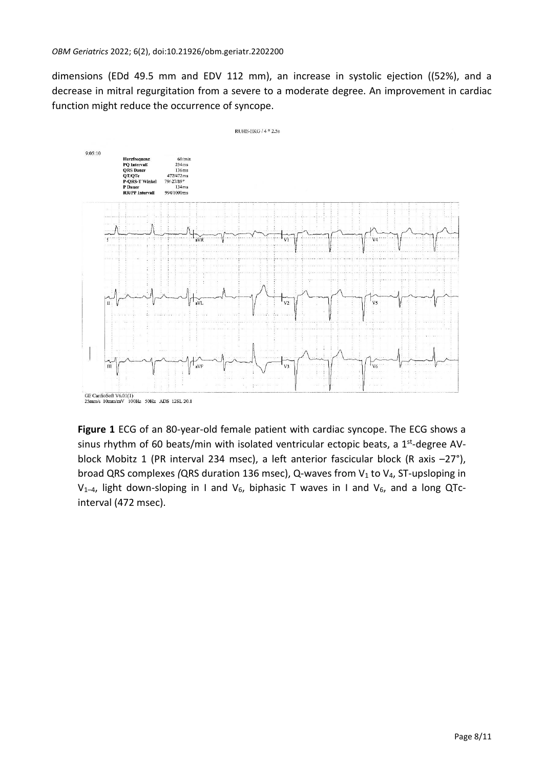dimensions (EDd 49.5 mm and EDV 112 mm), an increase in systolic ejection ((52%), and a decrease in mitral regurgitation from a severe to a moderate degree. An improvement in cardiac function might reduce the occurrence of syncope.



GE CardioSoft V6.01(1)<br>25mm/s 10mm/mV 100Hz 50Hz ADS 12SL 20.1

**Figure 1** ECG of an 80-year-old female patient with cardiac syncope. The ECG shows a sinus rhythm of 60 beats/min with isolated ventricular ectopic beats, a 1<sup>st</sup>-degree AVblock Mobitz 1 (PR interval 234 msec), a left anterior fascicular block (R axis –27°), broad QRS complexes *(QRS duration 136 msec)*, Q-waves from V<sub>1</sub> to V<sub>4</sub>, ST-upsloping in  $V_{1-4}$ , light down-sloping in I and  $V_6$ , biphasic T waves in I and  $V_6$ , and a long QTcinterval (472 msec).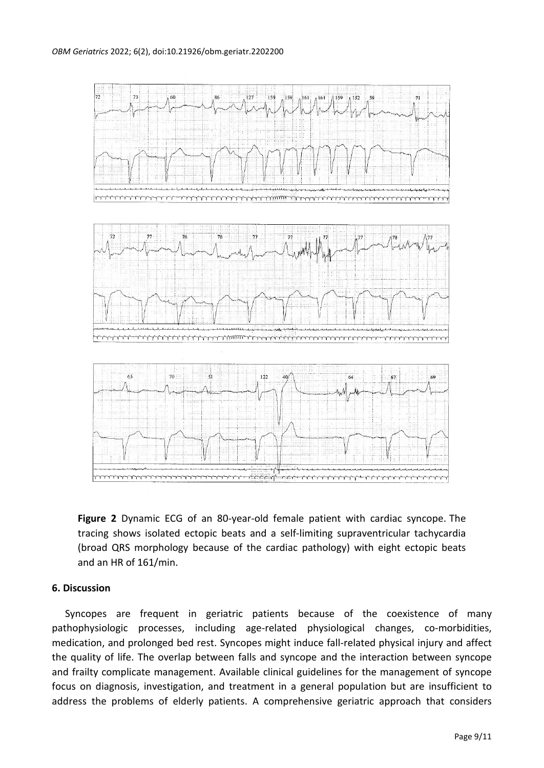

**Figure 2** Dynamic ECG of an 80-year-old female patient with cardiac syncope. The tracing shows isolated ectopic beats and a self-limiting supraventricular tachycardia (broad QRS morphology because of the cardiac pathology) with eight ectopic beats and an HR of 161/min.

#### **6. Discussion**

Syncopes are frequent in geriatric patients because of the coexistence of many pathophysiologic processes, including age-related physiological changes, co-morbidities, medication, and prolonged bed rest. Syncopes might induce fall-related physical injury and affect the quality of life. The overlap between falls and syncope and the interaction between syncope and frailty complicate management. Available clinical guidelines for the management of syncope focus on diagnosis, investigation, and treatment in a general population but are insufficient to address the problems of elderly patients. A comprehensive geriatric approach that considers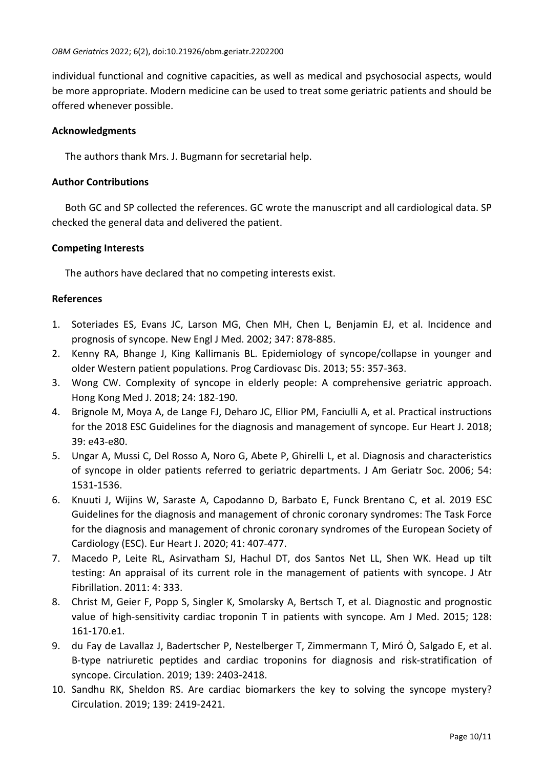individual functional and cognitive capacities, as well as medical and psychosocial aspects, would be more appropriate. Modern medicine can be used to treat some geriatric patients and should be offered whenever possible.

# **Acknowledgments**

The authors thank Mrs. J. Bugmann for secretarial help.

# **Author Contributions**

Both GC and SP collected the references. GC wrote the manuscript and all cardiological data. SP checked the general data and delivered the patient.

# **Competing Interests**

The authors have declared that no competing interests exist.

# **References**

- 1. Soteriades ES, Evans JC, Larson MG, Chen MH, Chen L, Benjamin EJ, et al. Incidence and prognosis of syncope. New Engl J Med. 2002; 347: 878-885.
- 2. Kenny RA, Bhange J, King Kallimanis BL. Epidemiology of syncope/collapse in younger and older Western patient populations. Prog Cardiovasc Dis. 2013; 55: 357-363.
- 3. Wong CW. Complexity of syncope in elderly people: A comprehensive geriatric approach. Hong Kong Med J. 2018; 24: 182-190.
- 4. Brignole M, Moya A, de Lange FJ, Deharo JC, Ellior PM, Fanciulli A, et al. Practical instructions for the 2018 ESC Guidelines for the diagnosis and management of syncope. Eur Heart J. 2018; 39: e43-e80.
- 5. Ungar A, Mussi C, Del Rosso A, Noro G, Abete P, Ghirelli L, et al. Diagnosis and characteristics of syncope in older patients referred to geriatric departments. J Am Geriatr Soc. 2006; 54: 1531-1536.
- 6. Knuuti J, Wijins W, Saraste A, Capodanno D, Barbato E, Funck Brentano C, et al. 2019 ESC Guidelines for the diagnosis and management of chronic coronary syndromes: The Task Force for the diagnosis and management of chronic coronary syndromes of the European Society of Cardiology (ESC). Eur Heart J. 2020; 41: 407-477.
- 7. Macedo P, Leite RL, Asirvatham SJ, Hachul DT, dos Santos Net LL, Shen WK. Head up tilt testing: An appraisal of its current role in the management of patients with syncope. J Atr Fibrillation. 2011: 4: 333.
- 8. Christ M, Geier F, Popp S, Singler K, Smolarsky A, Bertsch T, et al. Diagnostic and prognostic value of high-sensitivity cardiac troponin T in patients with syncope. Am J Med. 2015; 128: 161-170.e1.
- 9. du Fay de Lavallaz J, Badertscher P, Nestelberger T, Zimmermann T, Miró Ò, Salgado E, et al. B-type natriuretic peptides and cardiac troponins for diagnosis and risk-stratification of syncope. Circulation. 2019; 139: 2403-2418.
- 10. Sandhu RK, Sheldon RS. Are cardiac biomarkers the key to solving the syncope mystery? Circulation. 2019; 139: 2419-2421.